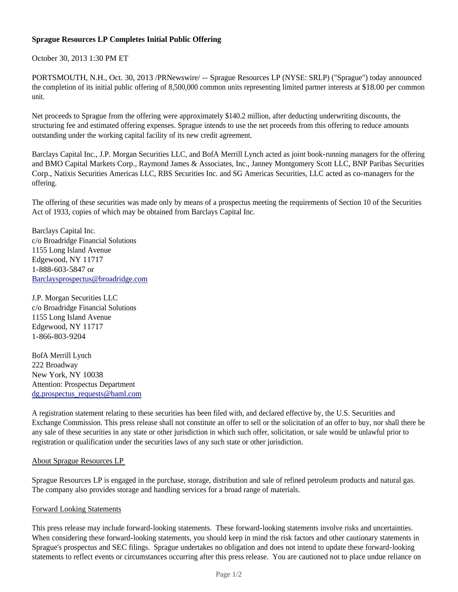## **Sprague Resources LP Completes Initial Public Offering**

October 30, 2013 1:30 PM ET

PORTSMOUTH, N.H., Oct. 30, 2013 /PRNewswire/ -- Sprague Resources LP (NYSE: SRLP) ("Sprague") today announced the completion of its initial public offering of 8,500,000 common units representing limited partner interests at \$18.00 per common unit.

Net proceeds to Sprague from the offering were approximately \$140.2 million, after deducting underwriting discounts, the structuring fee and estimated offering expenses. Sprague intends to use the net proceeds from this offering to reduce amounts outstanding under the working capital facility of its new credit agreement.

Barclays Capital Inc., J.P. Morgan Securities LLC, and BofA Merrill Lynch acted as joint book-running managers for the offering and BMO Capital Markets Corp., Raymond James & Associates, Inc., Janney Montgomery Scott LLC, BNP Paribas Securities Corp., Natixis Securities Americas LLC, RBS Securities Inc. and SG Americas Securities, LLC acted as co-managers for the offering.

The offering of these securities was made only by means of a prospectus meeting the requirements of Section 10 of the Securities Act of 1933, copies of which may be obtained from Barclays Capital Inc.

Barclays Capital Inc. c/o Broadridge Financial Solutions 1155 Long Island Avenue Edgewood, NY 11717 1-888-603-5847 or Barclaysprospectus@broadridge.com

J.P. Morgan Securities LLC c/o Broadridge Financial Solutions 1155 Long Island Avenue Edgewood, NY 11717 1-866-803-9204

BofA Merrill Lynch 222 Broadway New York, NY 10038 Attention: Prospectus Department dg.prospectus\_requests@baml.com

A registration statement relating to these securities has been filed with, and declared effective by, the U.S. Securities and Exchange Commission. This press release shall not constitute an offer to sell or the solicitation of an offer to buy, nor shall there be any sale of these securities in any state or other jurisdiction in which such offer, solicitation, or sale would be unlawful prior to registration or qualification under the securities laws of any such state or other jurisdiction.

## About Sprague Resources LP

Sprague Resources LP is engaged in the purchase, storage, distribution and sale of refined petroleum products and natural gas. The company also provides storage and handling services for a broad range of materials.

## Forward Looking Statements

This press release may include forward-looking statements. These forward-looking statements involve risks and uncertainties. When considering these forward-looking statements, you should keep in mind the risk factors and other cautionary statements in Sprague's prospectus and SEC filings. Sprague undertakes no obligation and does not intend to update these forward-looking statements to reflect events or circumstances occurring after this press release. You are cautioned not to place undue reliance on